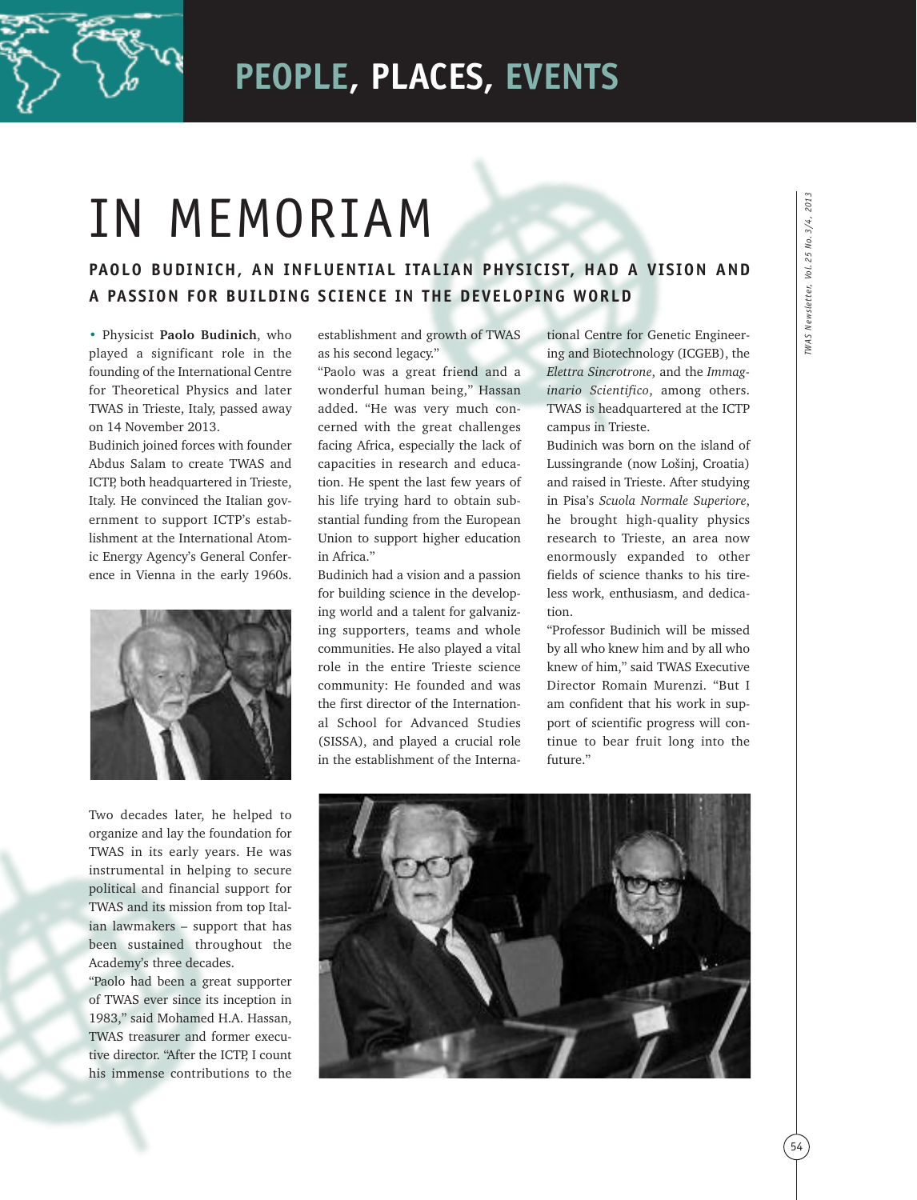

### **PEOPLE, PLACES, EVENTS**

## IN MEMORIAM

### **PAOLO BUDINICH, AN INFLUENTIAL ITALIAN PHYSICIST, HAD A VISION AND A PASSION FOR BUILDING SCIENCE IN THE DEVELOPING WORLD**

**•** Physicist **Paolo Budinich**, who played a significant role in the founding of the International Centre for Theoretical Physics and later TWAS in Trieste, Italy, passed away on 14 November 2013.

Budinich joined forces with founder Abdus Salam to create TWAS and ICTP, both headquartered in Trieste, Italy. He convinced the Italian government to support ICTP's establishment at the International Atomic Energy Agency's General Conference in Vienna in the early 1960s.



Two decades later, he helped to organize and lay the foundation for TWAS in its early years. He was instrumental in helping to secure political and financial support for TWAS and its mission from top Italian lawmakers – support that has been sustained throughout the Academy's three decades.

"Paolo had been a great supporter of TWAS ever since its inception in 1983," said Mohamed H.A. Hassan, TWAS treasurer and former executive director. "After the ICTP, I count his immense contributions to the establishment and growth of TWAS as his second legacy."

"Paolo was a great friend and a wonderful human being," Hassan added. "He was very much concerned with the great challenges facing Africa, especially the lack of capacities in research and education. He spent the last few years of his life trying hard to obtain substantial funding from the European Union to support higher education in Africa."

Budinich had a vision and a passion for building science in the developing world and a talent for galvanizing supporters, teams and whole communities. He also played a vital role in the entire Trieste science community: He founded and was the first director of the International School for Advanced Studies (SISSA), and played a crucial role in the establishment of the Interna-

tional Centre for Genetic Engineering and Biotechnology (ICGEB), the *Elettra Sincrotrone*, and the *Immaginario Scientifico*, among others. TWAS is headquartered at the ICTP campus in Trieste.

Budinich was born on the island of Lussingrande (now Lošinj, Croatia) and raised in Trieste. After studying in Pisa's *Scuola Normale Superiore*, he brought high-quality physics research to Trieste, an area now enormously expanded to other fields of science thanks to his tireless work, enthusiasm, and dedication.

"Professor Budinich will be missed by all who knew him and by all who knew of him," said TWAS Executive Director Romain Murenzi. "But I am confident that his work in support of scientific progress will continue to bear fruit long into the future."